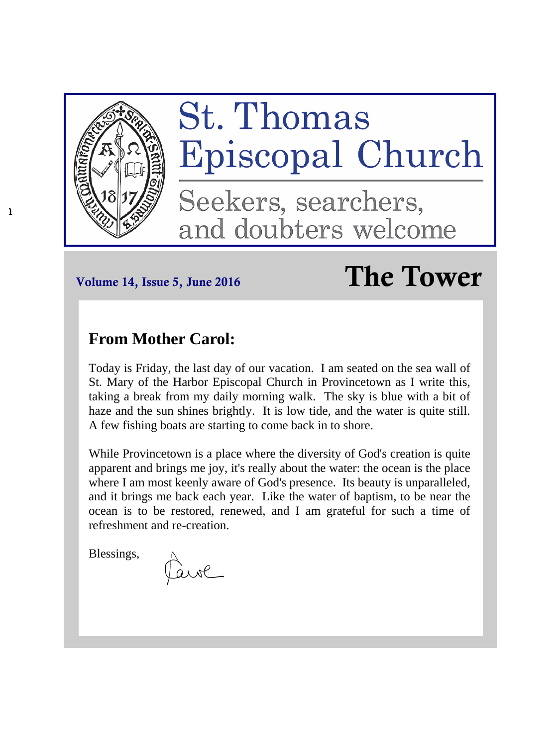

h

# Volume 14, Issue 5, June 2016  $\Gamma$ he Tower

# **From Mother Carol:**

Today is Friday, the last day of our vacation. I am seated on the sea wall of St. Mary of the Harbor Episcopal Church in Provincetown as I write this, taking a break from my daily morning walk. The sky is blue with a bit of haze and the sun shines brightly. It is low tide, and the water is quite still. A few fishing boats are starting to come back in to shore.

While Provincetown is a place where the diversity of God's creation is quite apparent and brings me joy, it's really about the water: the ocean is the place where I am most keenly aware of God's presence. Its beauty is unparalleled, and it brings me back each year. Like the water of baptism, to be near the ocean is to be restored, renewed, and I am grateful for such a time of refreshment and re-creation.

Blessings,

ave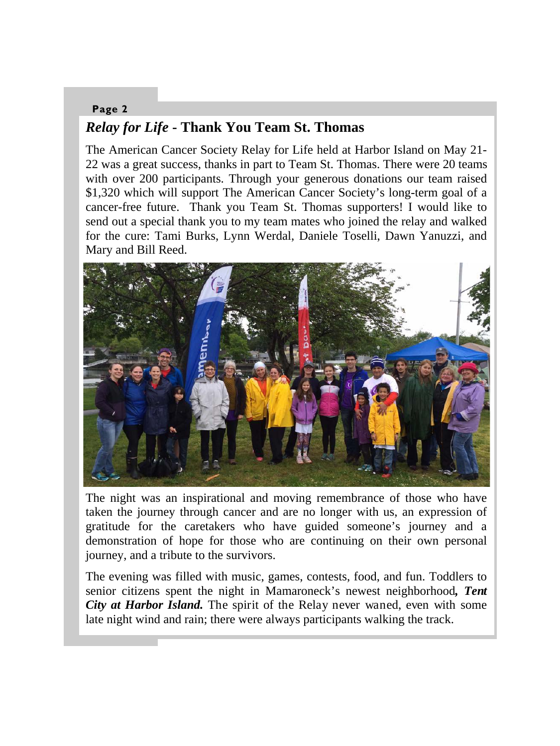## **Page 2**  *Relay for Life* **- Thank You Team St. Thomas**

The American Cancer Society Relay for Life held at Harbor Island on May 21- 22 was a great success, thanks in part to Team St. Thomas. There were 20 teams with over 200 participants. Through your generous donations our team raised \$1,320 which will support The American Cancer Society's long-term goal of a cancer-free future. Thank you Team St. Thomas supporters! I would like to send out a special thank you to my team mates who joined the relay and walked for the cure: Tami Burks, Lynn Werdal, Daniele Toselli, Dawn Yanuzzi, and Mary and Bill Reed.



The night was an inspirational and moving remembrance of those who have taken the journey through cancer and are no longer with us, an expression of gratitude for the caretakers who have guided someone's journey and a demonstration of hope for those who are continuing on their own personal journey, and a tribute to the survivors.

The evening was filled with music, games, contests, food, and fun. Toddlers to senior citizens spent the night in Mamaroneck's newest neighborhood*, Tent City at Harbor Island.* The spirit of the Relay never waned, even with some late night wind and rain; there were always participants walking the track.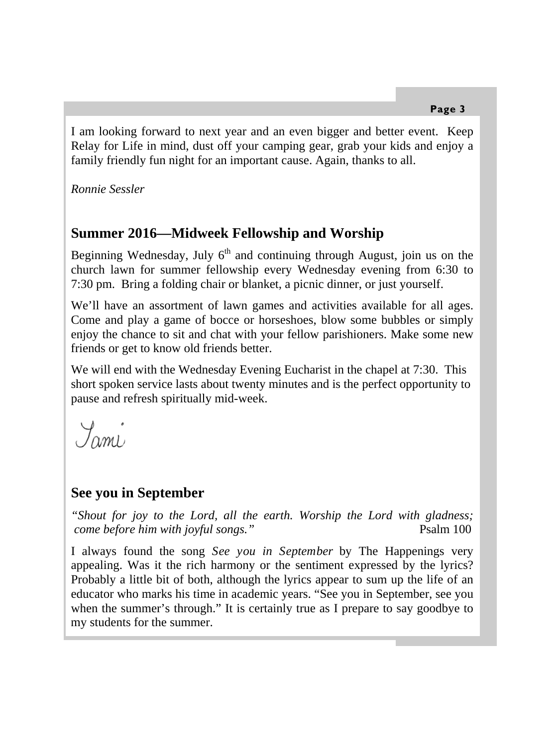I am looking forward to next year and an even bigger and better event. Keep Relay for Life in mind, dust off your camping gear, grab your kids and enjoy a family friendly fun night for an important cause. Again, thanks to all.

*Ronnie Sessler* 

# **Summer 2016—Midweek Fellowship and Worship**

Beginning Wednesday, July  $6<sup>th</sup>$  and continuing through August, join us on the church lawn for summer fellowship every Wednesday evening from 6:30 to 7:30 pm. Bring a folding chair or blanket, a picnic dinner, or just yourself.

We'll have an assortment of lawn games and activities available for all ages. Come and play a game of bocce or horseshoes, blow some bubbles or simply enjoy the chance to sit and chat with your fellow parishioners. Make some new friends or get to know old friends better.

We will end with the Wednesday Evening Eucharist in the chapel at 7:30. This short spoken service lasts about twenty minutes and is the perfect opportunity to pause and refresh spiritually mid-week.

Jami

# **See you in September**

*"Shout for joy to the Lord, all the earth. Worship the Lord with gladness; come before him with joyful songs.*" Psalm 100

I always found the song *See you in September* by The Happenings very appealing. Was it the rich harmony or the sentiment expressed by the lyrics? Probably a little bit of both, although the lyrics appear to sum up the life of an educator who marks his time in academic years. "See you in September, see you when the summer's through." It is certainly true as I prepare to say goodbye to my students for the summer.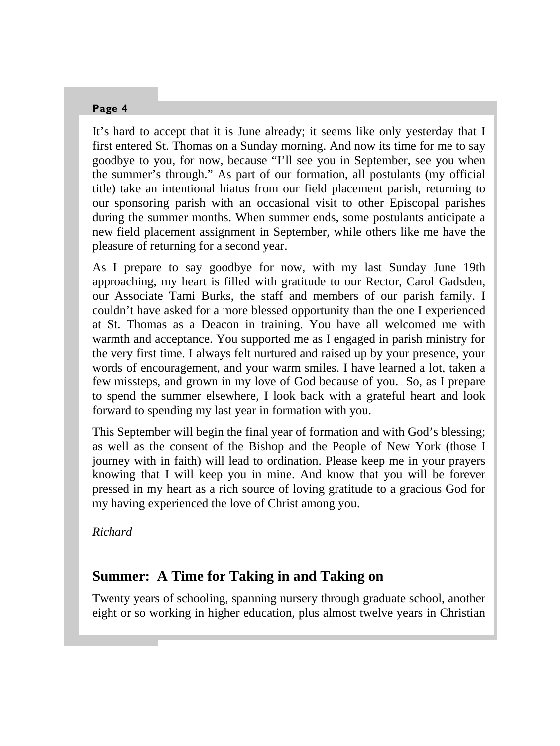It's hard to accept that it is June already; it seems like only yesterday that I first entered St. Thomas on a Sunday morning. And now its time for me to say goodbye to you, for now, because "I'll see you in September, see you when the summer's through." As part of our formation, all postulants (my official title) take an intentional hiatus from our field placement parish, returning to our sponsoring parish with an occasional visit to other Episcopal parishes during the summer months. When summer ends, some postulants anticipate a new field placement assignment in September, while others like me have the pleasure of returning for a second year.

As I prepare to say goodbye for now, with my last Sunday June 19th approaching, my heart is filled with gratitude to our Rector, Carol Gadsden, our Associate Tami Burks, the staff and members of our parish family. I couldn't have asked for a more blessed opportunity than the one I experienced at St. Thomas as a Deacon in training. You have all welcomed me with warmth and acceptance. You supported me as I engaged in parish ministry for the very first time. I always felt nurtured and raised up by your presence, your words of encouragement, and your warm smiles. I have learned a lot, taken a few missteps, and grown in my love of God because of you. So, as I prepare to spend the summer elsewhere, I look back with a grateful heart and look forward to spending my last year in formation with you.

This September will begin the final year of formation and with God's blessing; as well as the consent of the Bishop and the People of New York (those I journey with in faith) will lead to ordination. Please keep me in your prayers knowing that I will keep you in mine. And know that you will be forever pressed in my heart as a rich source of loving gratitude to a gracious God for my having experienced the love of Christ among you.

*Richard* 

# **Summer: A Time for Taking in and Taking on**

Twenty years of schooling, spanning nursery through graduate school, another eight or so working in higher education, plus almost twelve years in Christian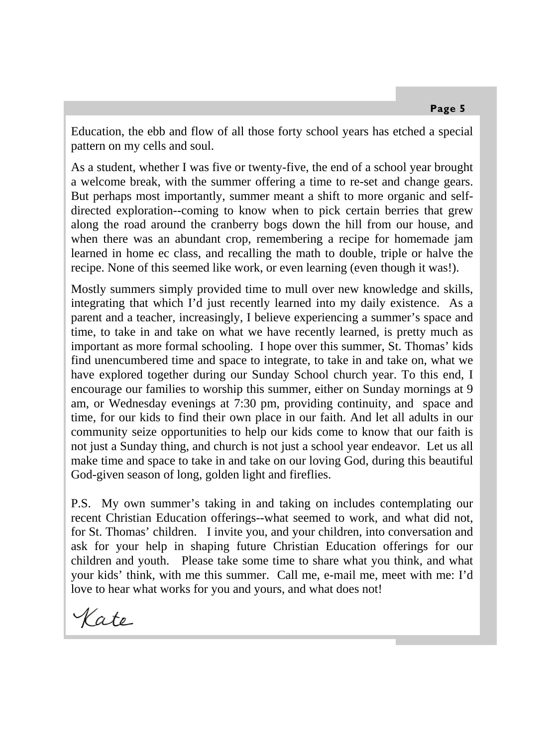Education, the ebb and flow of all those forty school years has etched a special pattern on my cells and soul.

As a student, whether I was five or twenty-five, the end of a school year brought a welcome break, with the summer offering a time to re-set and change gears. But perhaps most importantly, summer meant a shift to more organic and selfdirected exploration--coming to know when to pick certain berries that grew along the road around the cranberry bogs down the hill from our house, and when there was an abundant crop, remembering a recipe for homemade jam learned in home ec class, and recalling the math to double, triple or halve the recipe. None of this seemed like work, or even learning (even though it was!).

Mostly summers simply provided time to mull over new knowledge and skills, integrating that which I'd just recently learned into my daily existence. As a parent and a teacher, increasingly, I believe experiencing a summer's space and time, to take in and take on what we have recently learned, is pretty much as important as more formal schooling. I hope over this summer, St. Thomas' kids find unencumbered time and space to integrate, to take in and take on, what we have explored together during our Sunday School church year. To this end, I encourage our families to worship this summer, either on Sunday mornings at 9 am, or Wednesday evenings at 7:30 pm, providing continuity, and space and time, for our kids to find their own place in our faith. And let all adults in our community seize opportunities to help our kids come to know that our faith is not just a Sunday thing, and church is not just a school year endeavor. Let us all make time and space to take in and take on our loving God, during this beautiful God-given season of long, golden light and fireflies.

P.S. My own summer's taking in and taking on includes contemplating our recent Christian Education offerings--what seemed to work, and what did not, for St. Thomas' children. I invite you, and your children, into conversation and ask for your help in shaping future Christian Education offerings for our children and youth. Please take some time to share what you think, and what your kids' think, with me this summer. Call me, e-mail me, meet with me: I'd love to hear what works for you and yours, and what does not!

Kate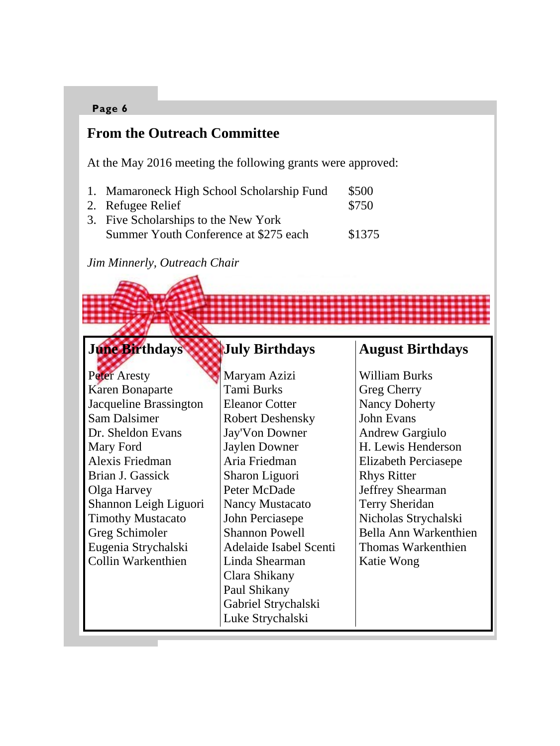# **From the Outreach Committee**

At the May 2016 meeting the following grants were approved:

- 1. Mamaroneck High School Scholarship Fund \$500
- 2. Refugee Relief  $$750$ 3. Five Scholarships to the New York
- Summer Youth Conference at \$275 each \$1375

*Jim Minnerly, Outreach Chair* 

#### **June Birthdays July Birthdays**

Peter Aresty Karen Bonaparte Jacqueline Brassington Sam Dalsimer Dr. Sheldon Evans Mary Ford Alexis Friedman Brian J. Gassick Olga Harvey Shannon Leigh Liguori Timothy Mustacato Greg Schimoler Eugenia Strychalski Collin Warkenthien

Maryam Azizi Tami Burks Eleanor Cotter Robert Deshensky Jay'Von Downer Jaylen Downer Aria Friedman Sharon Liguori Peter McDade Nancy Mustacato John Perciasepe Shannon Powell Adelaide Isabel Scenti Linda Shearman Clara Shikany Paul Shikany Gabriel Strychalski Luke Strychalski

# **August Birthdays**

William Burks Greg Cherry Nancy Doherty John Evans Andrew Gargiulo H. Lewis Henderson Elizabeth Perciasepe Rhys Ritter Jeffrey Shearman Terry Sheridan Nicholas Strychalski Bella Ann Warkenthien Thomas Warkenthien Katie Wong